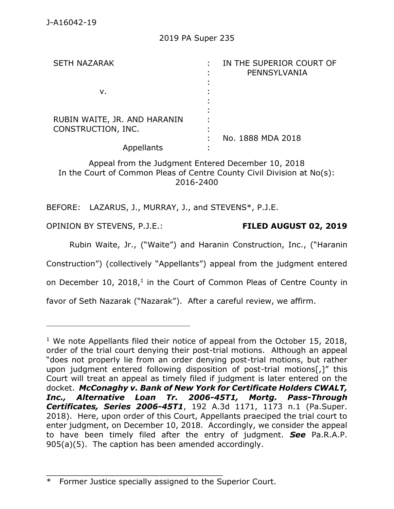| <b>SETH NAZARAK</b>                                | IN THE SUPERIOR COURT OF<br>PENNSYLVANIA |
|----------------------------------------------------|------------------------------------------|
| ν.                                                 |                                          |
| RUBIN WAITE, JR. AND HARANIN<br>CONSTRUCTION, INC. |                                          |
| Appellants                                         | No. 1888 MDA 2018                        |

Appeal from the Judgment Entered December 10, 2018 In the Court of Common Pleas of Centre County Civil Division at No(s): 2016-2400

BEFORE: LAZARUS, J., MURRAY, J., and STEVENS\*, P.J.E.

OPINION BY STEVENS, P.J.E.: **FILED AUGUST 02, 2019**

\_\_\_\_\_\_\_\_\_\_\_\_\_\_\_\_\_\_\_\_\_\_\_\_\_\_\_\_\_\_\_\_\_\_\_\_\_\_\_\_\_\_\_\_

Rubin Waite, Jr., ("Waite") and Haranin Construction, Inc., ("Haranin

Construction") (collectively "Appellants") appeal from the judgment entered

on December  $10$ ,  $2018$ ,<sup>1</sup> in the Court of Common Pleas of Centre County in

favor of Seth Nazarak ("Nazarak"). After a careful review, we affirm.

\_\_\_\_\_\_\_\_\_\_\_\_\_\_\_\_\_\_\_\_\_\_\_\_\_\_\_\_\_\_\_\_\_\_\_\_

<sup>&</sup>lt;sup>1</sup> We note Appellants filed their notice of appeal from the October 15, 2018, order of the trial court denying their post-trial motions. Although an appeal "does not properly lie from an order denying post-trial motions, but rather upon judgment entered following disposition of post-trial motions[,]" this Court will treat an appeal as timely filed if judgment is later entered on the docket. *[McConaghy v. Bank of New York for Certificate Holders CWALT,](https://1.next.westlaw.com/Link/Document/FullText?findType=Y&serNum=2044845474&pubNum=0007691&originatingDoc=Ibbe9313083b211e998e8870e22e55653&refType=RP&fi=co_pp_sp_7691_1173&originationContext=document&transitionType=DocumentItem&contextData=(sc.Search)#co_pp_sp_7691_1173)  [Inc., Alternative Loan Tr. 2006-45T1, Mortg. Pass-Through](https://1.next.westlaw.com/Link/Document/FullText?findType=Y&serNum=2044845474&pubNum=0007691&originatingDoc=Ibbe9313083b211e998e8870e22e55653&refType=RP&fi=co_pp_sp_7691_1173&originationContext=document&transitionType=DocumentItem&contextData=(sc.Search)#co_pp_sp_7691_1173)  Certificates, Series 2006-45T1*[, 192 A.3d 1171, 1173 n.1 \(Pa.Super.](https://1.next.westlaw.com/Link/Document/FullText?findType=Y&serNum=2044845474&pubNum=0007691&originatingDoc=Ibbe9313083b211e998e8870e22e55653&refType=RP&fi=co_pp_sp_7691_1173&originationContext=document&transitionType=DocumentItem&contextData=(sc.Search)#co_pp_sp_7691_1173)  [2018\).](https://1.next.westlaw.com/Link/Document/FullText?findType=Y&serNum=2044845474&pubNum=0007691&originatingDoc=Ibbe9313083b211e998e8870e22e55653&refType=RP&fi=co_pp_sp_7691_1173&originationContext=document&transitionType=DocumentItem&contextData=(sc.Search)#co_pp_sp_7691_1173) Here, upon order of this Court, Appellants praeciped the trial court to enter judgment, on December 10, 2018. Accordingly, we consider the appeal to have been timely filed after the entry of judgment. *See* [Pa.R.A.P.](https://1.next.westlaw.com/Link/Document/FullText?findType=L&pubNum=1000782&cite=PASTRAPR905&originatingDoc=Ibbe9313083b211e998e8870e22e55653&refType=LQ&originationContext=document&transitionType=DocumentItem&contextData=(sc.Search))  [905\(a\)\(5\).](https://1.next.westlaw.com/Link/Document/FullText?findType=L&pubNum=1000782&cite=PASTRAPR905&originatingDoc=Ibbe9313083b211e998e8870e22e55653&refType=LQ&originationContext=document&transitionType=DocumentItem&contextData=(sc.Search)) The caption has been amended accordingly.

<sup>\*</sup> Former Justice specially assigned to the Superior Court.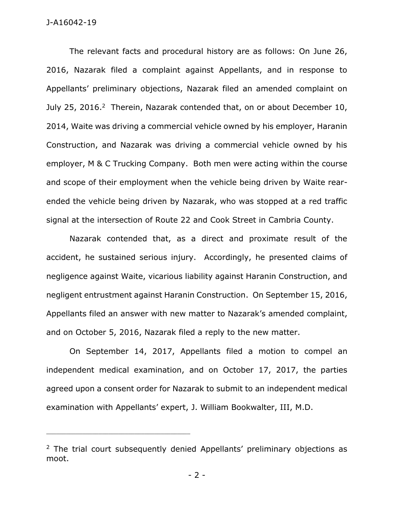#### J-A16042-19

The relevant facts and procedural history are as follows: On June 26, 2016, Nazarak filed a complaint against Appellants, and in response to Appellants' preliminary objections, Nazarak filed an amended complaint on July 25, 2016.<sup>2</sup> Therein, Nazarak contended that, on or about December 10, 2014, Waite was driving a commercial vehicle owned by his employer, Haranin Construction, and Nazarak was driving a commercial vehicle owned by his employer, M & C Trucking Company. Both men were acting within the course and scope of their employment when the vehicle being driven by Waite rearended the vehicle being driven by Nazarak, who was stopped at a red traffic signal at the intersection of Route 22 and Cook Street in Cambria County.

Nazarak contended that, as a direct and proximate result of the accident, he sustained serious injury. Accordingly, he presented claims of negligence against Waite, vicarious liability against Haranin Construction, and negligent entrustment against Haranin Construction. On September 15, 2016, Appellants filed an answer with new matter to Nazarak's amended complaint, and on October 5, 2016, Nazarak filed a reply to the new matter.

On September 14, 2017, Appellants filed a motion to compel an independent medical examination, and on October 17, 2017, the parties agreed upon a consent order for Nazarak to submit to an independent medical examination with Appellants' expert, J. William Bookwalter, III, M.D.

<sup>&</sup>lt;sup>2</sup> The trial court subsequently denied Appellants' preliminary objections as moot.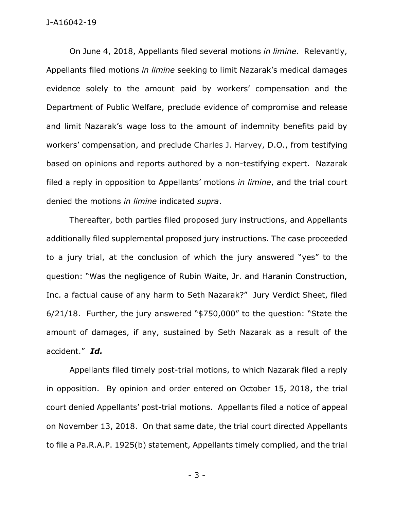#### J-A16042-19

On June 4, 2018, Appellants filed several motions *in limine*. Relevantly, Appellants filed motions *in limine* seeking to limit Nazarak's medical damages evidence solely to the amount paid by workers' compensation and the Department of Public Welfare, preclude evidence of compromise and release and limit Nazarak's wage loss to the amount of indemnity benefits paid by workers' compensation, and preclude Charles J. Harvey, D.O., from testifying based on opinions and reports authored by a non-testifying expert. Nazarak filed a reply in opposition to Appellants' motions *in limine*, and the trial court denied the motions *in limine* indicated *supra*.

Thereafter, both parties filed proposed jury instructions, and Appellants additionally filed supplemental proposed jury instructions. The case proceeded to a jury trial, at the conclusion of which the jury answered "yes" to the question: "Was the negligence of Rubin Waite, Jr. and Haranin Construction, Inc. a factual cause of any harm to Seth Nazarak?" Jury Verdict Sheet, filed 6/21/18. Further, the jury answered "\$750,000" to the question: "State the amount of damages, if any, sustained by Seth Nazarak as a result of the accident." *Id.* 

Appellants filed timely post-trial motions, to which Nazarak filed a reply in opposition. By opinion and order entered on October 15, 2018, the trial court denied Appellants' post-trial motions. Appellants filed a notice of appeal on November 13, 2018. On that same date, the trial court directed Appellants to file a Pa.R.A.P. 1925(b) statement, Appellants timely complied, and the trial

- 3 -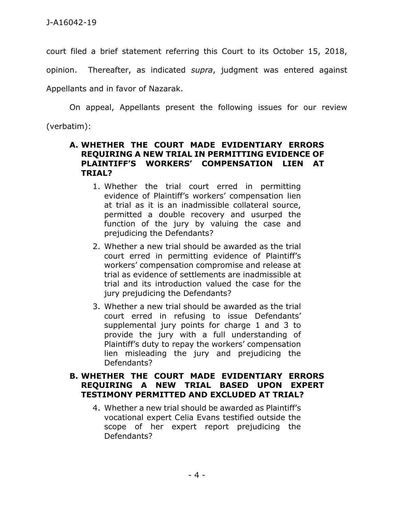court filed a brief statement referring this Court to its October 15, 2018, opinion. Thereafter, as indicated *supra*, judgment was entered against Appellants and in favor of Nazarak.

On appeal, Appellants present the following issues for our review (verbatim):

### **A. WHETHER THE COURT MADE EVIDENTIARY ERRORS REQUIRING A NEW TRIAL IN PERMITTING EVIDENCE OF PLAINTIFF'S WORKERS' COMPENSATION LIEN AT TRIAL?**

- 1. Whether the trial court erred in permitting evidence of Plaintiff's workers' compensation lien at trial as it is an inadmissible collateral source, permitted a double recovery and usurped the function of the jury by valuing the case and prejudicing the Defendants?
- 2. Whether a new trial should be awarded as the trial court erred in permitting evidence of Plaintiff's workers' compensation compromise and release at trial as evidence of settlements are inadmissible at trial and its introduction valued the case for the jury prejudicing the Defendants?
- 3. Whether a new trial should be awarded as the trial court erred in refusing to issue Defendants' supplemental jury points for charge 1 and 3 to provide the jury with a full understanding of Plaintiff's duty to repay the workers' compensation lien misleading the jury and prejudicing the Defendants?

## **B. WHETHER THE COURT MADE EVIDENTIARY ERRORS REQUIRING A NEW TRIAL BASED UPON EXPERT TESTIMONY PERMITTED AND EXCLUDED AT TRIAL?**

4. Whether a new trial should be awarded as Plaintiff's vocational expert Celia Evans testified outside the scope of her expert report prejudicing the Defendants?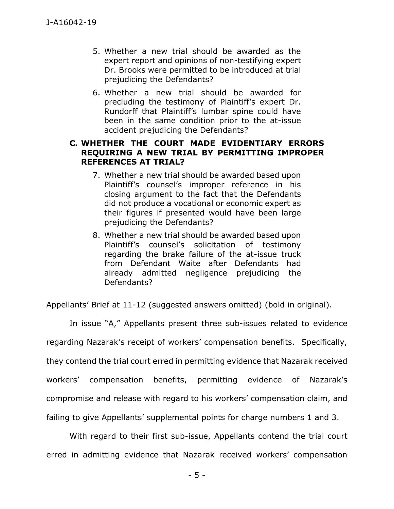- 5. Whether a new trial should be awarded as the expert report and opinions of non-testifying expert Dr. Brooks were permitted to be introduced at trial prejudicing the Defendants?
- 6. Whether a new trial should be awarded for precluding the testimony of Plaintiff's expert Dr. Rundorff that Plaintiff's lumbar spine could have been in the same condition prior to the at-issue accident prejudicing the Defendants?

# **C. WHETHER THE COURT MADE EVIDENTIARY ERRORS REQUIRING A NEW TRIAL BY PERMITTING IMPROPER REFERENCES AT TRIAL?**

- 7. Whether a new trial should be awarded based upon Plaintiff's counsel's improper reference in his closing argument to the fact that the Defendants did not produce a vocational or economic expert as their figures if presented would have been large prejudicing the Defendants?
- 8. Whether a new trial should be awarded based upon Plaintiff's counsel's solicitation of testimony regarding the brake failure of the at-issue truck from Defendant Waite after Defendants had already admitted negligence prejudicing the Defendants?

Appellants' Brief at 11-12 (suggested answers omitted) (bold in original).

In issue "A," Appellants present three sub-issues related to evidence regarding Nazarak's receipt of workers' compensation benefits. Specifically, they contend the trial court erred in permitting evidence that Nazarak received workers' compensation benefits, permitting evidence of Nazarak's compromise and release with regard to his workers' compensation claim, and failing to give Appellants' supplemental points for charge numbers 1 and 3.

With regard to their first sub-issue, Appellants contend the trial court erred in admitting evidence that Nazarak received workers' compensation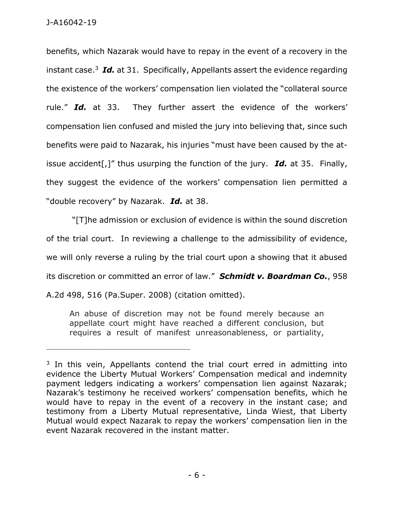benefits, which Nazarak would have to repay in the event of a recovery in the instant case.<sup>3</sup> Id. at 31. Specifically, Appellants assert the evidence regarding the existence of the workers' compensation lien violated the "collateral source rule." *Id.* at 33. They further assert the evidence of the workers' compensation lien confused and misled the jury into believing that, since such benefits were paid to Nazarak, his injuries "must have been caused by the atissue accident[,]" thus usurping the function of the jury. *Id.* at 35. Finally, they suggest the evidence of the workers' compensation lien permitted a "double recovery" by Nazarak. *Id.* at 38.

"[T]he admission or exclusion of evidence is within the sound discretion of the trial court. In reviewing a challenge to the admissibility of evidence, we will only reverse a ruling by the trial court upon a showing that it abused its discretion or committed an error of law." *Schmidt v. Boardman Co.*, 958 A.2d 498, 516 (Pa.Super. 2008) (citation omitted).

An abuse of discretion may not be found merely because an appellate court might have reached a different conclusion, but requires a result of manifest unreasonableness, or partiality,

<sup>&</sup>lt;sup>3</sup> In this vein, Appellants contend the trial court erred in admitting into evidence the Liberty Mutual Workers' Compensation medical and indemnity payment ledgers indicating a workers' compensation lien against Nazarak; Nazarak's testimony he received workers' compensation benefits, which he would have to repay in the event of a recovery in the instant case; and testimony from a Liberty Mutual representative, Linda Wiest, that Liberty Mutual would expect Nazarak to repay the workers' compensation lien in the event Nazarak recovered in the instant matter.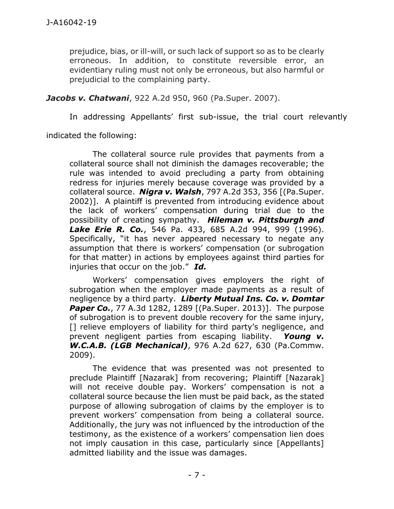prejudice, bias, or ill-will, or such lack of support so as to be clearly erroneous. In addition, to constitute reversible error, an evidentiary ruling must not only be erroneous, but also harmful or prejudicial to the complaining party.

*Jacobs v. Chatwani*, 922 A.2d 950, 960 (Pa.Super. 2007).

In addressing Appellants' first sub-issue, the trial court relevantly

indicated the following:

The collateral source rule provides that payments from a collateral source shall not diminish the damages recoverable; the rule was intended to avoid precluding a party from obtaining redress for injuries merely because coverage was provided by a collateral source. *Nigra v. Walsh*, 797 A.2d 353, 356 [(Pa.Super. 2002)]. A plaintiff is prevented from introducing evidence about the lack of workers' compensation during trial due to the possibility of creating sympathy. *Hileman v. Pittsburgh and Lake Erie R. Co.*, 546 Pa. 433, 685 A.2d 994, 999 (1996). Specifically, "it has never appeared necessary to negate any assumption that there is workers' compensation (or subrogation for that matter) in actions by employees against third parties for injuries that occur on the job." *Id.*

Workers' compensation gives employers the right of subrogation when the employer made payments as a result of negligence by a third party. *Liberty Mutual Ins. Co. v. Domtar*  **Paper Co.**, 77 A.3d 1282, 1289 [(Pa.Super. 2013)]. The purpose of subrogation is to prevent double recovery for the same injury, [] relieve employers of liability for third party's negligence, and prevent negligent parties from escaping liability. *Young v. W.C.A.B. (LGB Mechanical)*, 976 A.2d 627, 630 (Pa.Commw. 2009).

The evidence that was presented was not presented to preclude Plaintiff [Nazarak] from recovering; Plaintiff [Nazarak] will not receive double pay. Workers' compensation is not a collateral source because the lien must be paid back, as the stated purpose of allowing subrogation of claims by the employer is to prevent workers' compensation from being a collateral source. Additionally, the jury was not influenced by the introduction of the testimony, as the existence of a workers' compensation lien does not imply causation in this case, particularly since [Appellants] admitted liability and the issue was damages.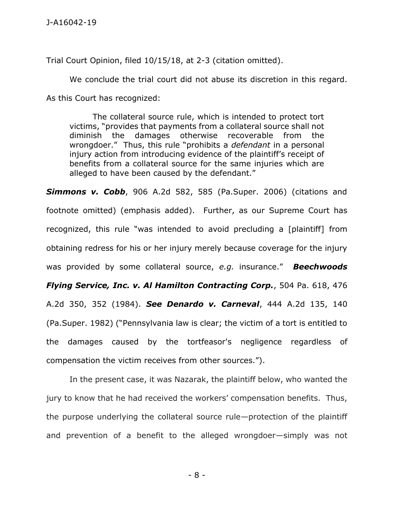Trial Court Opinion, filed 10/15/18, at 2-3 (citation omitted).

We conclude the trial court did not abuse its discretion in this regard.

As this Court has recognized:

The collateral source rule, which is intended to protect tort victims, "provides that payments from a collateral source shall not diminish the damages otherwise recoverable from the wrongdoer." Thus, this rule "prohibits a *defendant* in a personal injury action from introducing evidence of the plaintiff's receipt of benefits from a collateral source for the same injuries which are alleged to have been caused by the defendant."

**Simmons v. Cobb**, 906 A.2d 582, 585 (Pa.Super. 2006) (citations and footnote omitted) (emphasis added). Further, as our Supreme Court has recognized, this rule "was intended to avoid precluding a [plaintiff] from obtaining redress for his or her injury merely because coverage for the injury was provided by some collateral source, *e.g.* insurance." *Beechwoods Flying Service, Inc. v. Al Hamilton Contracting Corp.*, 504 Pa. 618, 476 A.2d 350, 352 (1984). *See Denardo v. Carneval*, 444 A.2d 135, 140 (Pa.Super. 1982) ("Pennsylvania law is clear; the victim of a tort is entitled to the damages caused by the tortfeasor's negligence regardless of compensation the victim receives from other sources.").

In the present case, it was Nazarak, the plaintiff below, who wanted the jury to know that he had received the workers' compensation benefits. Thus, the purpose underlying the collateral source rule—protection of the plaintiff and prevention of a benefit to the alleged wrongdoer—simply was not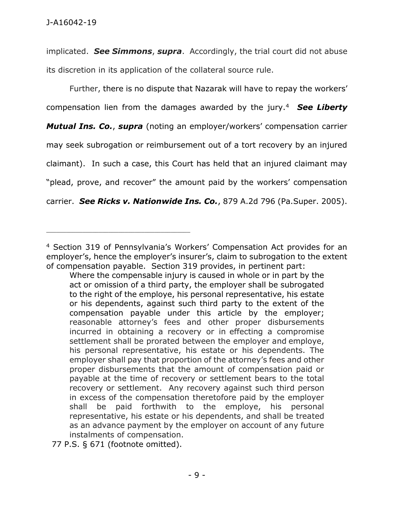implicated. *See Simmons*, *supra*. Accordingly, the trial court did not abuse its discretion in its application of the collateral source rule.

Further, there is no dispute that Nazarak will have to repay the workers' compensation lien from the damages awarded by the jury.<sup>4</sup> *See Liberty Mutual Ins. Co.*, *supra* (noting an employer/workers' compensation carrier may seek subrogation or reimbursement out of a tort recovery by an injured claimant). In such a case, this Court has held that an injured claimant may "plead, prove, and recover" the amount paid by the workers' compensation carrier. *See Ricks v. Nationwide Ins. Co.*, 879 A.2d 796 (Pa.Super. 2005).

<sup>4</sup> Section 319 of Pennsylvania's Workers' Compensation Act provides for an employer's, hence the employer's insurer's, claim to subrogation to the extent of compensation payable. Section 319 provides, in pertinent part:

Where the compensable injury is caused in whole or in part by the act or omission of a third party, the employer shall be subrogated to the right of the employe, his personal representative, his estate or his dependents, against such third party to the extent of the compensation payable under this article by the employer; reasonable attorney's fees and other proper disbursements incurred in obtaining a recovery or in effecting a compromise settlement shall be prorated between the employer and employe, his personal representative, his estate or his dependents. The employer shall pay that proportion of the attorney's fees and other proper disbursements that the amount of compensation paid or payable at the time of recovery or settlement bears to the total recovery or settlement. Any recovery against such third person in excess of the compensation theretofore paid by the employer shall be paid forthwith to the employe, his personal representative, his estate or his dependents, and shall be treated as an advance payment by the employer on account of any future instalments of compensation.

 <sup>77</sup> P.S. § 671 (footnote omitted).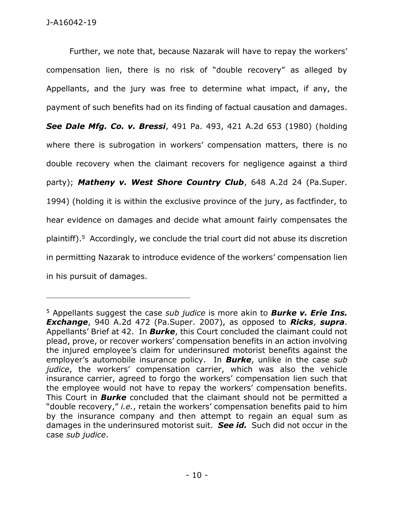Further, we note that, because Nazarak will have to repay the workers' compensation lien, there is no risk of "double recovery" as alleged by Appellants, and the jury was free to determine what impact, if any, the payment of such benefits had on its finding of factual causation and damages. *See Dale Mfg. Co. v. Bressi*, 491 Pa. 493, 421 A.2d 653 (1980) (holding where there is subrogation in workers' compensation matters, there is no double recovery when the claimant recovers for negligence against a third party); Matheny v. West Shore Country Club, 648 A.2d 24 (Pa.Super. 1994) (holding it is within the exclusive province of the jury, as factfinder, to hear evidence on damages and decide what amount fairly compensates the plaintiff). <sup>5</sup> Accordingly, we conclude the trial court did not abuse its discretion in permitting Nazarak to introduce evidence of the workers' compensation lien in his pursuit of damages.

<sup>5</sup> Appellants suggest the case *sub judice* is more akin to *Burke v. Erie Ins. Exchange*, 940 A.2d 472 (Pa.Super. 2007), as opposed to *Ricks*, *supra*. Appellants' Brief at 42. In *Burke*, this Court concluded the claimant could not plead, prove, or recover workers' compensation benefits in an action involving the injured employee's claim for underinsured motorist benefits against the employer's automobile insurance policy. In *Burke*, unlike in the case *sub judice*, the workers' compensation carrier, which was also the vehicle insurance carrier, agreed to forgo the workers' compensation lien such that the employee would not have to repay the workers' compensation benefits. This Court in *Burke* concluded that the claimant should not be permitted a "double recovery," *i.e.*, retain the workers' compensation benefits paid to him by the insurance company and then attempt to regain an equal sum as damages in the underinsured motorist suit. *See id.* Such did not occur in the case *sub judice*.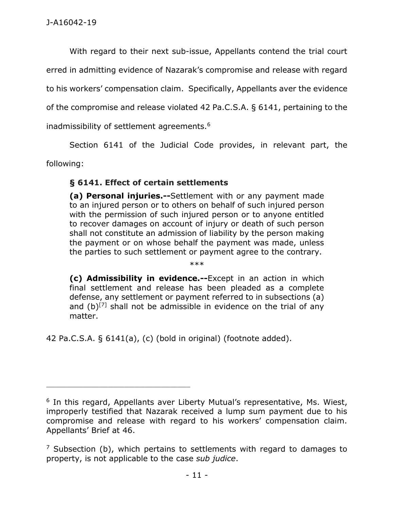With regard to their next sub-issue, Appellants contend the trial court

erred in admitting evidence of Nazarak's compromise and release with regard

to his workers' compensation claim. Specifically, Appellants aver the evidence

of the compromise and release violated 42 Pa.C.S.A. § 6141, pertaining to the

inadmissibility of settlement agreements.<sup>6</sup>

Section 6141 of the Judicial Code provides, in relevant part, the

following:

# **§ 6141. Effect of certain settlements**

**(a) Personal injuries.--**Settlement with or any payment made to an injured person or to others on behalf of such injured person with the permission of such injured person or to anyone entitled to recover damages on account of injury or death of such person shall not constitute an admission of liability by the person making the payment or on whose behalf the payment was made, unless the parties to such settlement or payment agree to the contrary.

\*\*\*

**(c) Admissibility in evidence.--**Except in an action in which final settlement and release has been pleaded as a complete defense, any settlement or payment referred to in subsections (a) and  $(b)^{[7]}$  shall not be admissible in evidence on the trial of any matter.

42 Pa.C.S.A. § 6141(a), (c) (bold in original) (footnote added).

<sup>&</sup>lt;sup>6</sup> In this regard, Appellants aver Liberty Mutual's representative, Ms. Wiest, improperly testified that Nazarak received a lump sum payment due to his compromise and release with regard to his workers' compensation claim. Appellants' Brief at 46.

 $<sup>7</sup>$  Subsection (b), which pertains to settlements with regard to damages to</sup> property, is not applicable to the case *sub judice*.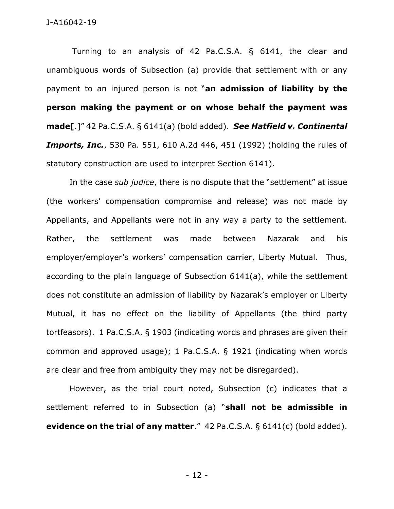Turning to an analysis of 42 Pa.C.S.A. § 6141, the clear and unambiguous words of Subsection (a) provide that settlement with or any payment to an injured person is not "**an admission of liability by the person making the payment or on whose behalf the payment was made[**.]" 42 Pa.C.S.A. § 6141(a) (bold added). *See Hatfield v. Continental Imports, Inc.*, 530 Pa. 551, 610 A.2d 446, 451 (1992) (holding the rules of statutory construction are used to interpret Section 6141).

In the case *sub judice*, there is no dispute that the "settlement" at issue (the workers' compensation compromise and release) was not made by Appellants, and Appellants were not in any way a party to the settlement. Rather, the settlement was made between Nazarak and his employer/employer's workers' compensation carrier, Liberty Mutual. Thus, according to the plain language of Subsection 6141(a), while the settlement does not constitute an admission of liability by Nazarak's employer or Liberty Mutual, it has no effect on the liability of Appellants (the third party tortfeasors). 1 Pa.C.S.A. § 1903 (indicating words and phrases are given their common and approved usage); 1 Pa.C.S.A. § 1921 (indicating when words are clear and free from ambiguity they may not be disregarded).

However, as the trial court noted, Subsection (c) indicates that a settlement referred to in Subsection (a) "**shall not be admissible in evidence on the trial of any matter**." 42 Pa.C.S.A. § 6141(c) (bold added).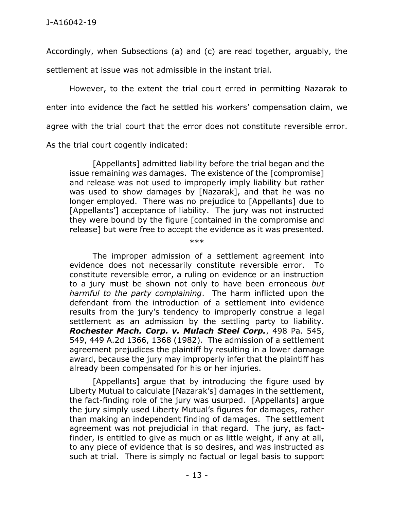Accordingly, when Subsections (a) and (c) are read together, arguably, the settlement at issue was not admissible in the instant trial.

However, to the extent the trial court erred in permitting Nazarak to enter into evidence the fact he settled his workers' compensation claim, we agree with the trial court that the error does not constitute reversible error. As the trial court cogently indicated:

[Appellants] admitted liability before the trial began and the issue remaining was damages. The existence of the [compromise] and release was not used to improperly imply liability but rather was used to show damages by [Nazarak], and that he was no longer employed. There was no prejudice to [Appellants] due to [Appellants<sup>'</sup>] acceptance of liability. The jury was not instructed they were bound by the figure [contained in the compromise and release] but were free to accept the evidence as it was presented.

\*\*\*

The improper admission of a settlement agreement into evidence does not necessarily constitute reversible error. To constitute reversible error, a ruling on evidence or an instruction to a jury must be shown not only to have been erroneous *but harmful to the party complaining*. The harm inflicted upon the defendant from the introduction of a settlement into evidence results from the jury's tendency to improperly construe a legal settlement as an admission by the settling party to liability. *Rochester Mach. Corp. v. Mulach Steel Corp.*, 498 Pa. 545, 549, 449 A.2d 1366, 1368 (1982). The admission of a settlement agreement prejudices the plaintiff by resulting in a lower damage award, because the jury may improperly infer that the plaintiff has already been compensated for his or her injuries.

[Appellants] argue that by introducing the figure used by Liberty Mutual to calculate [Nazarak's] damages in the settlement, the fact-finding role of the jury was usurped. [Appellants] argue the jury simply used Liberty Mutual's figures for damages, rather than making an independent finding of damages. The settlement agreement was not prejudicial in that regard. The jury, as factfinder, is entitled to give as much or as little weight, if any at all, to any piece of evidence that is so desires, and was instructed as such at trial. There is simply no factual or legal basis to support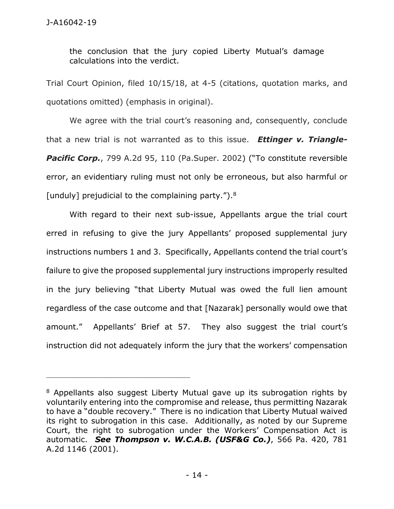the conclusion that the jury copied Liberty Mutual's damage calculations into the verdict.

Trial Court Opinion, filed 10/15/18, at 4-5 (citations, quotation marks, and quotations omitted) (emphasis in original).

We agree with the trial court's reasoning and, consequently, conclude that a new trial is not warranted as to this issue. *Ettinger v. Triangle-***Pacific Corp.**, 799 A.2d 95, 110 (Pa.Super. 2002) ("To constitute reversible error, an evidentiary ruling must not only be erroneous, but also harmful or [unduly] prejudicial to the complaining party."). $8$ 

With regard to their next sub-issue, Appellants argue the trial court erred in refusing to give the jury Appellants' proposed supplemental jury instructions numbers 1 and 3. Specifically, Appellants contend the trial court's failure to give the proposed supplemental jury instructions improperly resulted in the jury believing "that Liberty Mutual was owed the full lien amount regardless of the case outcome and that [Nazarak] personally would owe that amount." Appellants' Brief at 57. They also suggest the trial court's instruction did not adequately inform the jury that the workers' compensation

<sup>&</sup>lt;sup>8</sup> Appellants also suggest Liberty Mutual gave up its subrogation rights by voluntarily entering into the compromise and release, thus permitting Nazarak to have a "double recovery." There is no indication that Liberty Mutual waived its right to subrogation in this case. Additionally, as noted by our Supreme Court, the right to subrogation under the Workers' Compensation Act is automatic. *See Thompson v. W.C.A.B. (USF&G Co.)*, 566 Pa. 420, 781 A.2d 1146 (2001).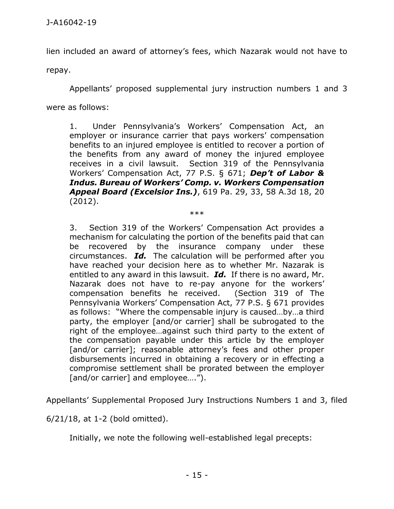lien included an award of attorney's fees, which Nazarak would not have to

repay.

Appellants' proposed supplemental jury instruction numbers 1 and 3

were as follows:

1. Under Pennsylvania's Workers' Compensation Act, an employer or insurance carrier that pays workers' compensation benefits to an injured employee is entitled to recover a portion of the benefits from any award of money the injured employee receives in a civil lawsuit. Section 319 of the Pennsylvania Workers' Compensation Act, 77 P.S. § 671; *Dep't of Labor & Indus. Bureau of Workers' Comp. v. Workers Compensation Appeal Board (Excelsior Ins.)*, 619 Pa. 29, 33, 58 A.3d 18, 20 (2012).

\*\*\*

3. Section 319 of the Workers' Compensation Act provides a mechanism for calculating the portion of the benefits paid that can be recovered by the insurance company under these circumstances. *Id.* The calculation will be performed after you have reached your decision here as to whether Mr. Nazarak is entitled to any award in this lawsuit. *Id.* If there is no award, Mr. Nazarak does not have to re-pay anyone for the workers' compensation benefits he received. (Section 319 of The Pennsylvania Workers' Compensation Act, 77 P.S. § 671 provides as follows: "Where the compensable injury is caused…by…a third party, the employer [and/or carrier] shall be subrogated to the right of the employee…against such third party to the extent of the compensation payable under this article by the employer [and/or carrier]; reasonable attorney's fees and other proper disbursements incurred in obtaining a recovery or in effecting a compromise settlement shall be prorated between the employer [and/or carrier] and employee....").

Appellants' Supplemental Proposed Jury Instructions Numbers 1 and 3, filed

6/21/18, at 1-2 (bold omitted).

Initially, we note the following well-established legal precepts: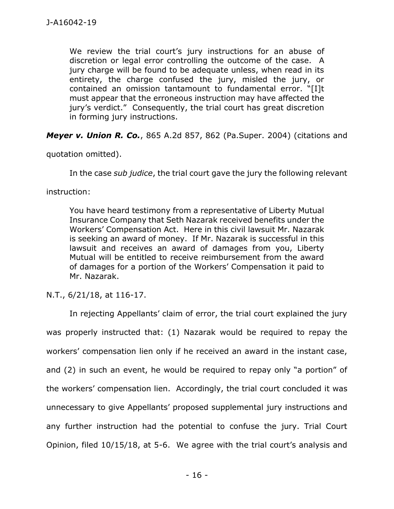We review the trial court's jury instructions for an abuse of discretion or legal error controlling the outcome of the case. A jury charge will be found to be adequate unless, when read in its entirety, the charge confused the jury, misled the jury, or contained an omission tantamount to fundamental error. "[I]t must appear that the erroneous instruction may have affected the jury's verdict." Consequently, the trial court has great discretion in forming jury instructions.

*Meyer v. Union R. Co.*, 865 A.2d 857, 862 (Pa.Super. 2004) (citations and

quotation omitted).

In the case *sub judice*, the trial court gave the jury the following relevant

instruction:

You have heard testimony from a representative of Liberty Mutual Insurance Company that Seth Nazarak received benefits under the Workers' Compensation Act. Here in this civil lawsuit Mr. Nazarak is seeking an award of money. If Mr. Nazarak is successful in this lawsuit and receives an award of damages from you, Liberty Mutual will be entitled to receive reimbursement from the award of damages for a portion of the Workers' Compensation it paid to Mr. Nazarak.

N.T., 6/21/18, at 116-17.

In rejecting Appellants' claim of error, the trial court explained the jury was properly instructed that: (1) Nazarak would be required to repay the workers' compensation lien only if he received an award in the instant case, and (2) in such an event, he would be required to repay only "a portion" of the workers' compensation lien. Accordingly, the trial court concluded it was unnecessary to give Appellants' proposed supplemental jury instructions and any further instruction had the potential to confuse the jury. Trial Court Opinion, filed 10/15/18, at 5-6. We agree with the trial court's analysis and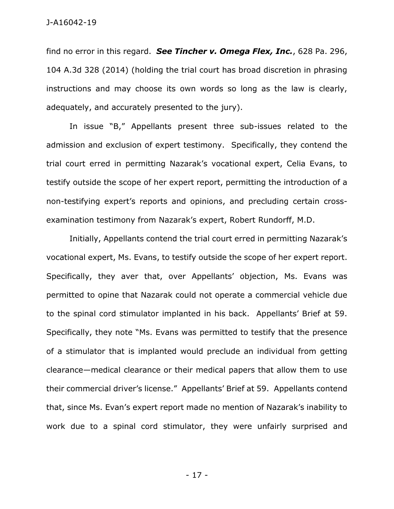find no error in this regard. *See Tincher v. Omega Flex, Inc.*, 628 Pa. 296, 104 A.3d 328 (2014) (holding the trial court has broad discretion in phrasing instructions and may choose its own words so long as the law is clearly, adequately, and accurately presented to the jury).

In issue "B," Appellants present three sub-issues related to the admission and exclusion of expert testimony. Specifically, they contend the trial court erred in permitting Nazarak's vocational expert, Celia Evans, to testify outside the scope of her expert report, permitting the introduction of a non-testifying expert's reports and opinions, and precluding certain crossexamination testimony from Nazarak's expert, Robert Rundorff, M.D.

Initially, Appellants contend the trial court erred in permitting Nazarak's vocational expert, Ms. Evans, to testify outside the scope of her expert report. Specifically, they aver that, over Appellants' objection, Ms. Evans was permitted to opine that Nazarak could not operate a commercial vehicle due to the spinal cord stimulator implanted in his back. Appellants' Brief at 59. Specifically, they note "Ms. Evans was permitted to testify that the presence of a stimulator that is implanted would preclude an individual from getting clearance—medical clearance or their medical papers that allow them to use their commercial driver's license." Appellants' Brief at 59. Appellants contend that, since Ms. Evan's expert report made no mention of Nazarak's inability to work due to a spinal cord stimulator, they were unfairly surprised and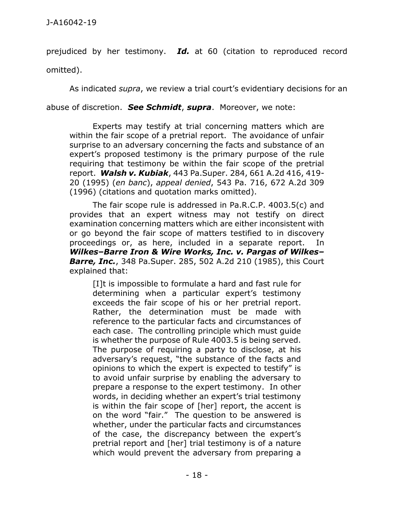prejudiced by her testimony. *Id.* at 60 (citation to reproduced record omitted).

As indicated *supra*, we review a trial court's evidentiary decisions for an

abuse of discretion. *See Schmidt*, *supra*. Moreover, we note:

Experts may testify at trial concerning matters which are within the fair scope of a pretrial report. The avoidance of unfair surprise to an adversary concerning the facts and substance of an expert's proposed testimony is the primary purpose of the rule requiring that testimony be within the fair scope of the pretrial report. *Walsh v. Kubiak*, 443 Pa.Super. 284, 661 A.2d 416, 419- 20 (1995) (*en banc*), *appeal denied*, 543 Pa. 716, 672 A.2d 309 (1996) (citations and quotation marks omitted).

The fair scope rule is addressed in Pa.R.C.P. 4003.5(c) and provides that an expert witness may not testify on direct examination concerning matters which are either inconsistent with or go beyond the fair scope of matters testified to in discovery proceedings or, as here, included in a separate report. In *Wilkes–Barre Iron & Wire Works, Inc. v. Pargas of Wilkes– Barre, Inc.*, 348 Pa.Super. 285, 502 A.2d 210 (1985), this Court explained that:

[I]t is impossible to formulate a hard and fast rule for determining when a particular expert's testimony exceeds the fair scope of his or her pretrial report. Rather, the determination must be made with reference to the particular facts and circumstances of each case. The controlling principle which must guide is whether the purpose of Rule 4003.5 is being served. The purpose of requiring a party to disclose, at his adversary's request, "the substance of the facts and opinions to which the expert is expected to testify" is to avoid unfair surprise by enabling the adversary to prepare a response to the expert testimony. In other words, in deciding whether an expert's trial testimony is within the fair scope of [her] report, the accent is on the word "fair." The question to be answered is whether, under the particular facts and circumstances of the case, the discrepancy between the expert's pretrial report and [her] trial testimony is of a nature which would prevent the adversary from preparing a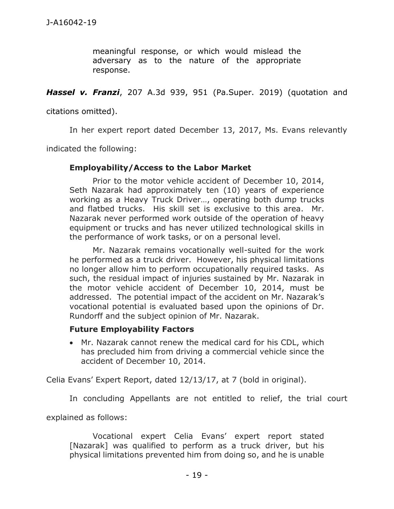meaningful response, or which would mislead the adversary as to the nature of the appropriate response.

*Hassel v. Franzi*, 207 A.3d 939, 951 (Pa.Super. 2019) (quotation and

citations omitted).

In her expert report dated December 13, 2017, Ms. Evans relevantly

indicated the following:

### **Employability/Access to the Labor Market**

Prior to the motor vehicle accident of December 10, 2014, Seth Nazarak had approximately ten (10) years of experience working as a Heavy Truck Driver…, operating both dump trucks and flatbed trucks. His skill set is exclusive to this area. Mr. Nazarak never performed work outside of the operation of heavy equipment or trucks and has never utilized technological skills in the performance of work tasks, or on a personal level.

Mr. Nazarak remains vocationally well-suited for the work he performed as a truck driver. However, his physical limitations no longer allow him to perform occupationally required tasks. As such, the residual impact of injuries sustained by Mr. Nazarak in the motor vehicle accident of December 10, 2014, must be addressed. The potential impact of the accident on Mr. Nazarak's vocational potential is evaluated based upon the opinions of Dr. Rundorff and the subject opinion of Mr. Nazarak.

### **Future Employability Factors**

 Mr. Nazarak cannot renew the medical card for his CDL, which has precluded him from driving a commercial vehicle since the accident of December 10, 2014.

Celia Evans' Expert Report, dated 12/13/17, at 7 (bold in original).

In concluding Appellants are not entitled to relief, the trial court

explained as follows:

Vocational expert Celia Evans' expert report stated [Nazarak] was qualified to perform as a truck driver, but his physical limitations prevented him from doing so, and he is unable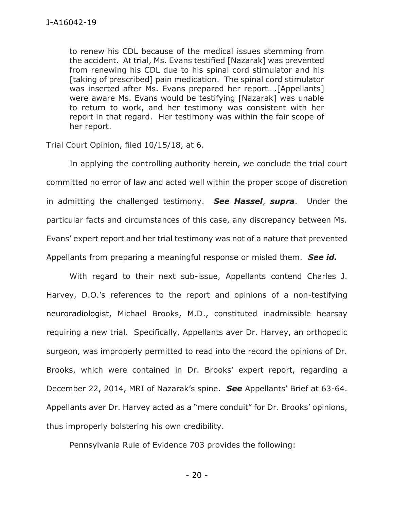to renew his CDL because of the medical issues stemming from the accident. At trial, Ms. Evans testified [Nazarak] was prevented from renewing his CDL due to his spinal cord stimulator and his [taking of prescribed] pain medication. The spinal cord stimulator was inserted after Ms. Evans prepared her report….[Appellants] were aware Ms. Evans would be testifying [Nazarak] was unable to return to work, and her testimony was consistent with her report in that regard. Her testimony was within the fair scope of her report.

Trial Court Opinion, filed 10/15/18, at 6.

In applying the controlling authority herein, we conclude the trial court committed no error of law and acted well within the proper scope of discretion in admitting the challenged testimony. *See Hassel*, *supra*. Under the particular facts and circumstances of this case, any discrepancy between Ms. Evans' expert report and her trial testimony was not of a nature that prevented Appellants from preparing a meaningful response or misled them. *See id.*

With regard to their next sub-issue, Appellants contend Charles J. Harvey, D.O.'s references to the report and opinions of a non-testifying neuroradiologist, Michael Brooks, M.D., constituted inadmissible hearsay requiring a new trial. Specifically, Appellants aver Dr. Harvey, an orthopedic surgeon, was improperly permitted to read into the record the opinions of Dr. Brooks, which were contained in Dr. Brooks' expert report, regarding a December 22, 2014, MRI of Nazarak's spine. *See* Appellants' Brief at 63-64. Appellants aver Dr. Harvey acted as a "mere conduit" for Dr. Brooks' opinions, thus improperly bolstering his own credibility.

Pennsylvania Rule of Evidence 703 provides the following:

- 20 -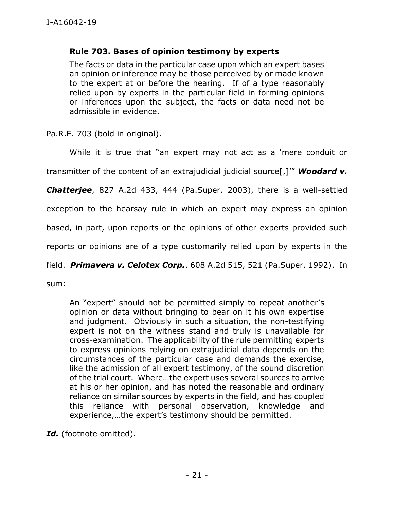## **[Rule 703.](https://1.next.westlaw.com/Link/Document/FullText?findType=L&pubNum=1015610&cite=PASTREVR703&originatingDoc=If1756078d17811e5b4bafa136b480ad2&refType=LQ&originationContext=document&transitionType=DocumentItem&contextData=(sc.Keycite)) Bases of opinion testimony by experts**

The facts or data in the particular case upon which an expert bases an opinion or inference may be those perceived by or made known to the expert at or before the hearing. If of a type reasonably relied upon by experts in the particular field in forming opinions or inferences upon the subject, the facts or data need not be admissible in evidence.

[Pa.R.E. 703](https://1.next.westlaw.com/Link/Document/FullText?findType=L&pubNum=1015610&cite=PASTREVR703&originatingDoc=If1756078d17811e5b4bafa136b480ad2&refType=LQ&originationContext=document&transitionType=DocumentItem&contextData=(sc.Keycite)) (bold in original).

While it is true that "an expert may not act as a 'mere conduit or

transmitter of the content of an extrajudicial judicial source[,]'" *[Woodard v.](https://1.next.westlaw.com/Link/Document/FullText?findType=Y&serNum=2003390526&pubNum=0000162&originatingDoc=I330f9418f01b11e5b4bafa136b480ad2&refType=RP&fi=co_pp_sp_162_444&originationContext=document&transitionType=DocumentItem&contextData=(sc.Keycite)#co_pp_sp_162_444)* 

*Chatterjee*, [827 A.2d 433, 444 \(Pa.Super. 2003\),](https://1.next.westlaw.com/Link/Document/FullText?findType=Y&serNum=2003390526&pubNum=0000162&originatingDoc=I330f9418f01b11e5b4bafa136b480ad2&refType=RP&fi=co_pp_sp_162_444&originationContext=document&transitionType=DocumentItem&contextData=(sc.Keycite)#co_pp_sp_162_444) there is a well-settled

exception to the hearsay rule in which an expert may express an opinion

based, in part, upon reports or the opinions of other experts provided such

reports or opinions are of a type customarily relied upon by experts in the

field. *Primavera v. Celotex Corp.*, [608 A.2d 515, 521 \(Pa.Super. 1992\).](https://1.next.westlaw.com/Link/Document/FullText?findType=Y&serNum=1992085949&pubNum=0000162&originatingDoc=I330f9418f01b11e5b4bafa136b480ad2&refType=RP&fi=co_pp_sp_162_521&originationContext=document&transitionType=DocumentItem&contextData=(sc.Keycite)#co_pp_sp_162_521) In

sum:

An "expert" should not be permitted simply to repeat another's opinion or data without bringing to bear on it his own expertise and judgment. Obviously in such a situation, the non-testifying expert is not on the witness stand and truly is unavailable for cross-examination. The applicability of the rule permitting experts to express opinions relying on extrajudicial data depends on the circumstances of the particular case and demands the exercise, like the admission of all expert testimony, of the sound discretion of the trial court. Where…the expert uses several sources to arrive at his or her opinion, and has noted the reasonable and ordinary reliance on similar sources by experts in the field, and has coupled this reliance with personal observation, knowledge and experience,…the expert's testimony should be permitted.

*Id.* (footnote omitted).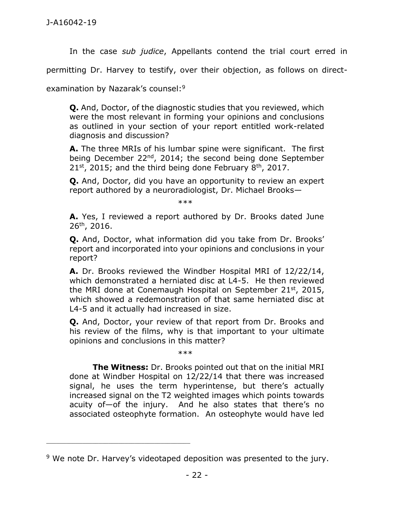In the case *sub judice*, Appellants contend the trial court erred in

permitting Dr. Harvey to testify, over their objection, as follows on direct-

examination by Nazarak's counsel:<sup>9</sup>

\_\_\_\_\_\_\_\_\_\_\_\_\_\_\_\_\_\_\_\_\_\_\_\_\_\_\_\_\_\_\_\_\_\_\_\_\_\_\_\_\_\_\_\_

**Q.** And, Doctor, of the diagnostic studies that you reviewed, which were the most relevant in forming your opinions and conclusions as outlined in your section of your report entitled work-related diagnosis and discussion?

**A.** The three MRIs of his lumbar spine were significant. The first being December  $22^{nd}$ , 2014; the second being done September  $21^{st}$ , 2015; and the third being done February 8<sup>th</sup>, 2017.

**Q.** And, Doctor, did you have an opportunity to review an expert report authored by a neuroradiologist, Dr. Michael Brooks—

\*\*\*

**A.** Yes, I reviewed a report authored by Dr. Brooks dated June 26th, 2016.

**Q.** And, Doctor, what information did you take from Dr. Brooks' report and incorporated into your opinions and conclusions in your report?

**A.** Dr. Brooks reviewed the Windber Hospital MRI of 12/22/14, which demonstrated a herniated disc at L4-5. He then reviewed the MRI done at Conemaugh Hospital on September 21st, 2015, which showed a redemonstration of that same herniated disc at L4-5 and it actually had increased in size.

**Q.** And, Doctor, your review of that report from Dr. Brooks and his review of the films, why is that important to your ultimate opinions and conclusions in this matter?

\*\*\*

**The Witness:** Dr. Brooks pointed out that on the initial MRI done at Windber Hospital on 12/22/14 that there was increased signal, he uses the term hyperintense, but there's actually increased signal on the T2 weighted images which points towards acuity of—of the injury. And he also states that there's no associated osteophyte formation. An osteophyte would have led

<sup>&</sup>lt;sup>9</sup> We note Dr. Harvey's videotaped deposition was presented to the jury.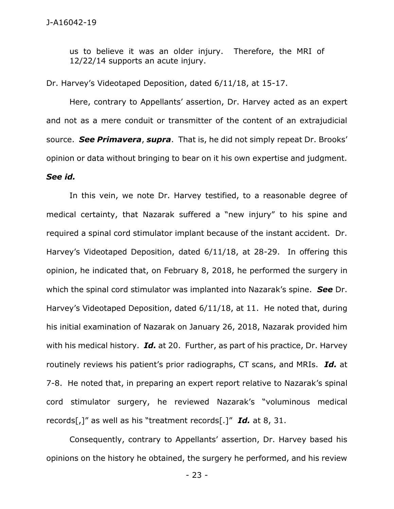us to believe it was an older injury. Therefore, the MRI of 12/22/14 supports an acute injury.

Dr. Harvey's Videotaped Deposition, dated 6/11/18, at 15-17.

Here, contrary to Appellants' assertion, Dr. Harvey acted as an expert and not as a mere conduit or transmitter of the content of an extrajudicial source. *See Primavera*, *supra*. That is, he did not simply repeat Dr. Brooks' opinion or data without bringing to bear on it his own expertise and judgment. *See id.* 

In this vein, we note Dr. Harvey testified, to a reasonable degree of medical certainty, that Nazarak suffered a "new injury" to his spine and required a spinal cord stimulator implant because of the instant accident. Dr. Harvey's Videotaped Deposition, dated 6/11/18, at 28-29. In offering this opinion, he indicated that, on February 8, 2018, he performed the surgery in which the spinal cord stimulator was implanted into Nazarak's spine. *See* Dr. Harvey's Videotaped Deposition, dated 6/11/18, at 11. He noted that, during his initial examination of Nazarak on January 26, 2018, Nazarak provided him with his medical history. *Id.* at 20. Further, as part of his practice, Dr. Harvey routinely reviews his patient's prior radiographs, CT scans, and MRIs. *Id.* at 7-8. He noted that, in preparing an expert report relative to Nazarak's spinal cord stimulator surgery, he reviewed Nazarak's "voluminous medical records[,]" as well as his "treatment records[.]" *Id.* at 8, 31.

Consequently, contrary to Appellants' assertion, Dr. Harvey based his opinions on the history he obtained, the surgery he performed, and his review

- 23 -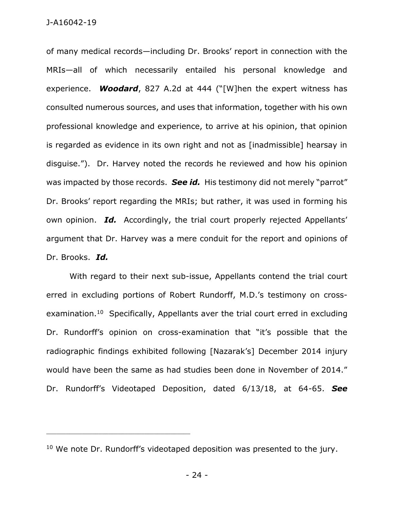of many medical records—including Dr. Brooks' report in connection with the MRIs—all of which necessarily entailed his personal knowledge and experience. *Woodard*, 827 A.2d at 444 ("[W]hen the expert witness has consulted numerous sources, and uses that information, together with his own professional knowledge and experience, to arrive at his opinion, that opinion is regarded as evidence in its own right and not as [inadmissible] hearsay in disguise."). Dr. Harvey noted the records he reviewed and how his opinion was impacted by those records. *See id.* His testimony did not merely "parrot" Dr. Brooks' report regarding the MRIs; but rather, it was used in forming his own opinion. *Id.* Accordingly, the trial court properly rejected Appellants' argument that Dr. Harvey was a mere conduit for the report and opinions of Dr. Brooks. *Id.* 

With regard to their next sub-issue, Appellants contend the trial court erred in excluding portions of Robert Rundorff, M.D.'s testimony on crossexamination.<sup>10</sup> Specifically, Appellants aver the trial court erred in excluding Dr. Rundorff's opinion on cross-examination that "it's possible that the radiographic findings exhibited following [Nazarak's] December 2014 injury would have been the same as had studies been done in November of 2014." Dr. Rundorff's Videotaped Deposition, dated 6/13/18, at 64-65. *See* 

\_\_\_\_\_\_\_\_\_\_\_\_\_\_\_\_\_\_\_\_\_\_\_\_\_\_\_\_\_\_\_\_\_\_\_\_\_\_\_\_\_\_\_\_

- 24 -

<sup>&</sup>lt;sup>10</sup> We note Dr. Rundorff's videotaped deposition was presented to the jury.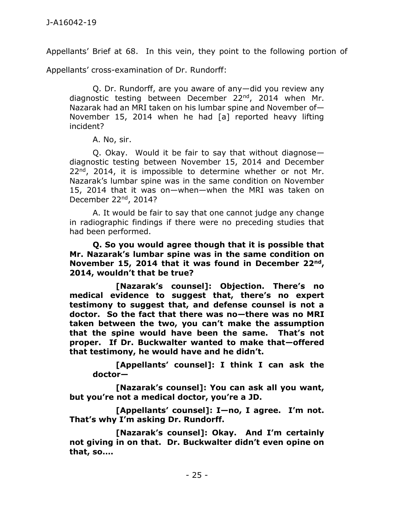Appellants' Brief at 68. In this vein, they point to the following portion of

Appellants' cross-examination of Dr. Rundorff:

Q. Dr. Rundorff, are you aware of any—did you review any diagnostic testing between December 22<sup>nd</sup>, 2014 when Mr. Nazarak had an MRI taken on his lumbar spine and November of— November 15, 2014 when he had [a] reported heavy lifting incident?

A. No, sir.

Q. Okay. Would it be fair to say that without diagnose diagnostic testing between November 15, 2014 and December 22<sup>nd</sup>, 2014, it is impossible to determine whether or not Mr. Nazarak's lumbar spine was in the same condition on November 15, 2014 that it was on—when—when the MRI was taken on December 22nd, 2014?

A. It would be fair to say that one cannot judge any change in radiographic findings if there were no preceding studies that had been performed.

**Q. So you would agree though that it is possible that Mr. Nazarak's lumbar spine was in the same condition on November 15, 2014 that it was found in December 22nd, 2014, wouldn't that be true?**

**[Nazarak's counsel]: Objection. There's no medical evidence to suggest that, there's no expert testimony to suggest that, and defense counsel is not a doctor. So the fact that there was no—there was no MRI taken between the two, you can't make the assumption that the spine would have been the same. That's not proper. If Dr. Buckwalter wanted to make that—offered that testimony, he would have and he didn't.**

**[Appellants' counsel]: I think I can ask the doctor—**

**[Nazarak's counsel]: You can ask all you want, but you're not a medical doctor, you're a JD.**

**[Appellants' counsel]: I—no, I agree. I'm not. That's why I'm asking Dr. Rundorff.**

 **[Nazarak's counsel]: Okay. And I'm certainly not giving in on that. Dr. Buckwalter didn't even opine on that, so….**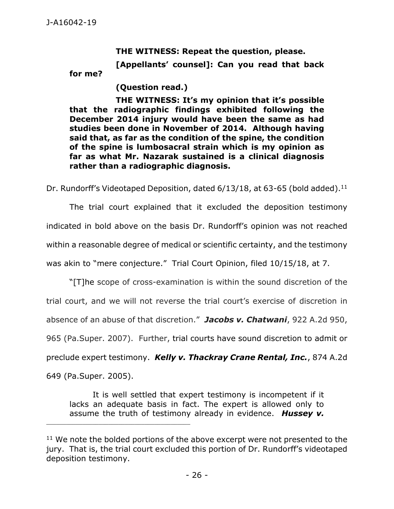**THE WITNESS: Repeat the question, please.**

**[Appellants' counsel]: Can you read that back** 

**for me?**

**(Question read.)**

**THE WITNESS: It's my opinion that it's possible that the radiographic findings exhibited following the December 2014 injury would have been the same as had studies been done in November of 2014. Although having said that, as far as the condition of the spine, the condition of the spine is lumbosacral strain which is my opinion as far as what Mr. Nazarak sustained is a clinical diagnosis rather than a radiographic diagnosis.** 

Dr. Rundorff's Videotaped Deposition, dated 6/13/18, at 63-65 (bold added).<sup>11</sup>

The trial court explained that it excluded the deposition testimony indicated in bold above on the basis Dr. Rundorff's opinion was not reached within a reasonable degree of medical or scientific certainty, and the testimony was akin to "mere conjecture." Trial Court Opinion, filed 10/15/18, at 7.

"[T]he scope of cross-examination is within the sound discretion of the trial court, and we will not reverse the trial court's exercise of discretion in absence of an abuse of that discretion." *Jacobs v. Chatwani*, 922 A.2d 950, 965 (Pa.Super. 2007). Further, trial courts have sound discretion to admit or preclude expert testimony. *Kelly v. Thackray Crane Rental, Inc.*, 874 A.2d 649 (Pa.Super. 2005).

It is well settled that expert testimony is incompetent if it lacks an adequate basis in fact. The expert is allowed only to assume the truth of testimony already in evidence. *Hussey v.* 

 $11$  We note the bolded portions of the above excerpt were not presented to the jury. That is, the trial court excluded this portion of Dr. Rundorff's videotaped deposition testimony.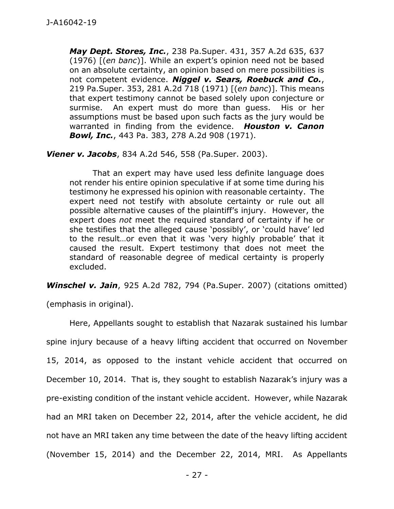*May Dept. Stores, Inc.*, 238 Pa.Super. 431, 357 A.2d 635, 637 (1976) [(*en banc*)]. While an expert's opinion need not be based on an absolute certainty, an opinion based on mere possibilities is not competent evidence. *Niggel v. Sears, Roebuck and Co.*, 219 Pa.Super. 353, 281 A.2d 718 (1971) [(*en banc*)]. This means that expert testimony cannot be based solely upon conjecture or surmise. An expert must do more than guess. His or her assumptions must be based upon such facts as the jury would be warranted in finding from the evidence. *Houston v. Canon Bowl, Inc.*, 443 Pa. 383, 278 A.2d 908 (1971).

*Viener v. Jacobs*, 834 A.2d 546, 558 (Pa.Super. 2003).

That an expert may have used less definite language does not render his entire opinion speculative if at some time during his testimony he expressed his opinion with reasonable certainty.The expert need not testify with absolute certainty or rule out all possible alternative causes of the plaintiff's injury. However, the expert does *not* meet the required standard of certainty if he or she testifies that the alleged cause 'possibly', or 'could have' led to the result…or even that it was 'very highly probable' that it caused the result. Expert testimony that does not meet the standard of reasonable degree of medical certainty is properly excluded.

*Winschel v. Jain*, 925 A.2d 782, 794 (Pa.Super. 2007) (citations omitted)

(emphasis in original).

Here, Appellants sought to establish that Nazarak sustained his lumbar spine injury because of a heavy lifting accident that occurred on November 15, 2014, as opposed to the instant vehicle accident that occurred on December 10, 2014. That is, they sought to establish Nazarak's injury was a pre-existing condition of the instant vehicle accident. However, while Nazarak had an MRI taken on December 22, 2014, after the vehicle accident, he did not have an MRI taken any time between the date of the heavy lifting accident (November 15, 2014) and the December 22, 2014, MRI. As Appellants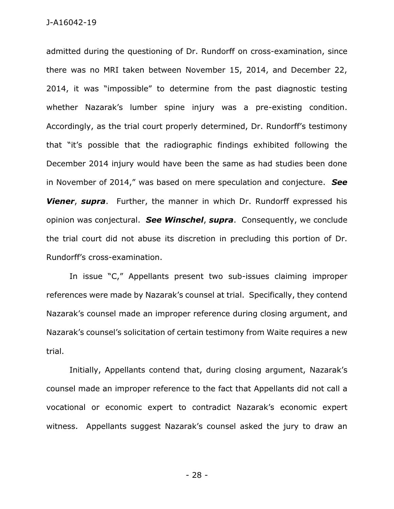admitted during the questioning of Dr. Rundorff on cross-examination, since there was no MRI taken between November 15, 2014, and December 22, 2014, it was "impossible" to determine from the past diagnostic testing whether Nazarak's lumber spine injury was a pre-existing condition. Accordingly, as the trial court properly determined, Dr. Rundorff's testimony that "it's possible that the radiographic findings exhibited following the December 2014 injury would have been the same as had studies been done in November of 2014," was based on mere speculation and conjecture. *See Viener*, *supra*. Further, the manner in which Dr. Rundorff expressed his opinion was conjectural. *See Winschel*, *supra*. Consequently, we conclude the trial court did not abuse its discretion in precluding this portion of Dr. Rundorff's cross-examination.

In issue "C," Appellants present two sub-issues claiming improper references were made by Nazarak's counsel at trial. Specifically, they contend Nazarak's counsel made an improper reference during closing argument, and Nazarak's counsel's solicitation of certain testimony from Waite requires a new trial.

Initially, Appellants contend that, during closing argument, Nazarak's counsel made an improper reference to the fact that Appellants did not call a vocational or economic expert to contradict Nazarak's economic expert witness. Appellants suggest Nazarak's counsel asked the jury to draw an

- 28 -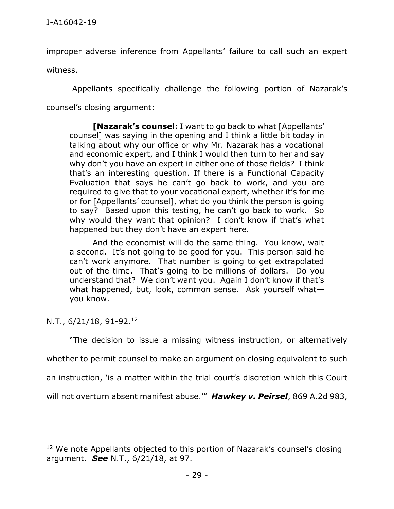improper adverse inference from Appellants' failure to call such an expert

witness.

Appellants specifically challenge the following portion of Nazarak's

counsel's closing argument:

**[Nazarak's counsel:** I want to go back to what [Appellants' counsel] was saying in the opening and I think a little bit today in talking about why our office or why Mr. Nazarak has a vocational and economic expert, and I think I would then turn to her and say why don't you have an expert in either one of those fields? I think that's an interesting question. If there is a Functional Capacity Evaluation that says he can't go back to work, and you are required to give that to your vocational expert, whether it's for me or for [Appellants' counsel], what do you think the person is going to say? Based upon this testing, he can't go back to work. So why would they want that opinion? I don't know if that's what happened but they don't have an expert here.

And the economist will do the same thing. You know, wait a second. It's not going to be good for you. This person said he can't work anymore. That number is going to get extrapolated out of the time. That's going to be millions of dollars. Do you understand that? We don't want you. Again I don't know if that's what happened, but, look, common sense. Ask yourself what you know.

N.T., 6/21/18, 91-92. 12

\_\_\_\_\_\_\_\_\_\_\_\_\_\_\_\_\_\_\_\_\_\_\_\_\_\_\_\_\_\_\_\_\_\_\_\_\_\_\_\_\_\_\_\_

"The decision to issue a missing witness instruction, or alternatively

whether to permit counsel to make an argument on closing equivalent to such

an instruction, 'is a matter within the trial court's discretion which this Court

will not overturn absent manifest abuse.'" *[Hawkey v. Peirsel](https://1.next.westlaw.com/Link/Document/FullText?findType=Y&serNum=2006258785&pubNum=0000162&originatingDoc=I7726ad1069c411e8abc79f7928cdeab9&refType=RP&fi=co_pp_sp_162_986&originationContext=document&transitionType=DocumentItem&contextData=(sc.Keycite)#co_pp_sp_162_986)*, 869 A.2d 983,

<sup>&</sup>lt;sup>12</sup> We note Appellants objected to this portion of Nazarak's counsel's closing argument. *See* N.T., 6/21/18, at 97.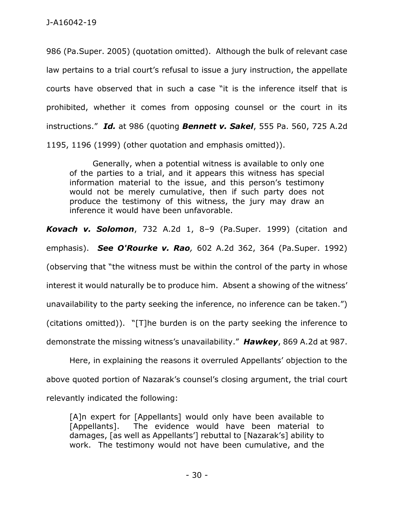[986 \(Pa.Super. 2005\)](https://1.next.westlaw.com/Link/Document/FullText?findType=Y&serNum=2006258785&pubNum=0000162&originatingDoc=I7726ad1069c411e8abc79f7928cdeab9&refType=RP&fi=co_pp_sp_162_986&originationContext=document&transitionType=DocumentItem&contextData=(sc.Keycite)#co_pp_sp_162_986) (quotation omitted). Although the bulk of relevant case law pertains to a trial court's refusal to issue a jury instruction, the appellate courts have observed that in such a case "it is the inference itself that is prohibited, whether it comes from opposing counsel or the court in its instructions." *Id.* at 986 (quoting *Bennett v. Sakel*, [555 Pa. 560, 725 A.2d](https://1.next.westlaw.com/Link/Document/FullText?findType=Y&serNum=1999063275&pubNum=0000162&originatingDoc=I7726ad1069c411e8abc79f7928cdeab9&refType=RP&fi=co_pp_sp_162_1196&originationContext=document&transitionType=DocumentItem&contextData=(sc.Keycite)#co_pp_sp_162_1196)  [1195, 1196 \(1999\)](https://1.next.westlaw.com/Link/Document/FullText?findType=Y&serNum=1999063275&pubNum=0000162&originatingDoc=I7726ad1069c411e8abc79f7928cdeab9&refType=RP&fi=co_pp_sp_162_1196&originationContext=document&transitionType=DocumentItem&contextData=(sc.Keycite)#co_pp_sp_162_1196) (other quotation and emphasis omitted)).

Generally, when a potential witness is available to only one of the parties to a trial, and it appears this witness has special information material to the issue, and this person's testimony would not be merely cumulative, then if such party does not produce the testimony of this witness, the jury may draw an inference it would have been unfavorable.

*[Kovach v. Solomon](https://1.next.westlaw.com/Link/Document/FullText?findType=Y&serNum=1999116126&pubNum=0000162&originatingDoc=I7726ad1069c411e8abc79f7928cdeab9&refType=RP&fi=co_pp_sp_162_8&originationContext=document&transitionType=DocumentItem&contextData=(sc.Keycite)#co_pp_sp_162_8)*, 732 A.2d 1, 8–9 (Pa.Super. 1999) (citation and emphasis). *See O'Rourke v. Rao,* [602 A.2d 362, 364 \(Pa.Super. 1992\)](https://1.next.westlaw.com/Link/Document/FullText?findType=Y&serNum=1992031276&pubNum=0000162&originatingDoc=I7726ad1069c411e8abc79f7928cdeab9&refType=RP&fi=co_pp_sp_162_364&originationContext=document&transitionType=DocumentItem&contextData=(sc.Keycite)#co_pp_sp_162_364) (observing that "the witness must be within the control of the party in whose interest it would naturally be to produce him. Absent a showing of the witness' unavailability to the party seeking the inference, no inference can be taken.") (citations omitted)). "[T]he burden is on the party seeking the inference to demonstrate the missing witness's unavailability." *Hawkey*, 869 A.2d at 987.

Here, in explaining the reasons it overruled Appellants' objection to the above quoted portion of Nazarak's counsel's closing argument, the trial court relevantly indicated the following:

[A]n expert for [Appellants] would only have been available to [Appellants]. The evidence would have been material to damages, [as well as Appellants'] rebuttal to [Nazarak's] ability to work. The testimony would not have been cumulative, and the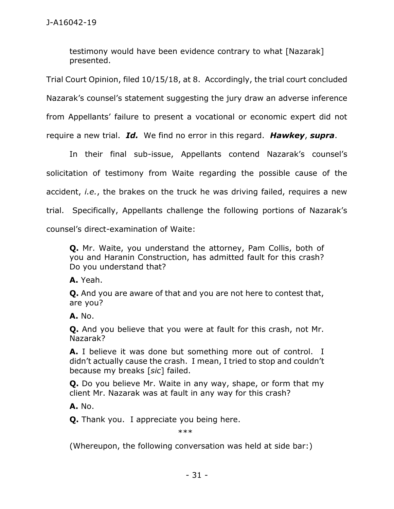testimony would have been evidence contrary to what [Nazarak] presented.

Trial Court Opinion, filed 10/15/18, at 8. Accordingly, the trial court concluded Nazarak's counsel's statement suggesting the jury draw an adverse inference from Appellants' failure to present a vocational or economic expert did not require a new trial. *Id.* We find no error in this regard. *Hawkey*, *supra*.

In their final sub-issue, Appellants contend Nazarak's counsel's solicitation of testimony from Waite regarding the possible cause of the accident, *i.e.*, the brakes on the truck he was driving failed, requires a new trial. Specifically, Appellants challenge the following portions of Nazarak's counsel's direct-examination of Waite:

**Q.** Mr. Waite, you understand the attorney, Pam Collis, both of you and Haranin Construction, has admitted fault for this crash? Do you understand that?

**A.** Yeah.

**Q.** And you are aware of that and you are not here to contest that, are you?

**A.** No.

**Q.** And you believe that you were at fault for this crash, not Mr. Nazarak?

**A.** I believe it was done but something more out of control. I didn't actually cause the crash. I mean, I tried to stop and couldn't because my breaks [*sic*] failed.

**Q.** Do you believe Mr. Waite in any way, shape, or form that my client Mr. Nazarak was at fault in any way for this crash?

**A.** No.

**Q.** Thank you. I appreciate you being here.

\*\*\*

(Whereupon, the following conversation was held at side bar:)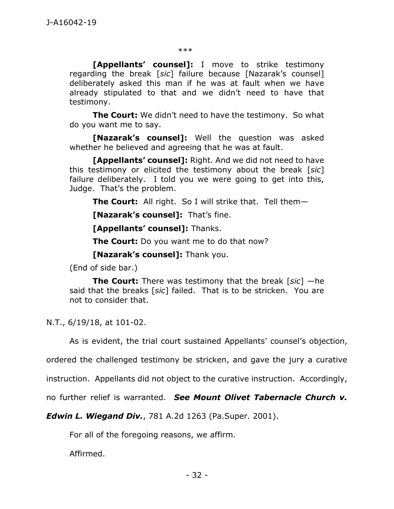\*\*\*

**[Appellants' counsel]:** I move to strike testimony regarding the break [*sic*] failure because [Nazarak's counsel] deliberately asked this man if he was at fault when we have already stipulated to that and we didn't need to have that testimony.

**The Court:** We didn't need to have the testimony. So what do you want me to say.

**[Nazarak's counsel]:** Well the question was asked whether he believed and agreeing that he was at fault.

**[Appellants' counsel]:** Right. And we did not need to have this testimony or elicited the testimony about the break [*sic*] failure deliberately. I told you we were going to get into this, Judge. That's the problem.

**The Court:** All right. So I will strike that. Tell them—

**[Nazarak's counsel]:** That's fine.

**[Appellants' counsel]:** Thanks.

**The Court:** Do you want me to do that now?

**[Nazarak's counsel]:** Thank you.

(End of side bar.)

**The Court:** There was testimony that the break [*sic*] —he said that the breaks [*sic*] failed. That is to be stricken. You are not to consider that.

N.T., 6/19/18, at 101-02.

As is evident, the trial court sustained Appellants' counsel's objection,

ordered the challenged testimony be stricken, and gave the jury a curative

instruction. Appellants did not object to the curative instruction. Accordingly,

no further relief is warranted. *See Mount Olivet Tabernacle Church v.* 

*Edwin L. Wiegand Div.*, 781 A.2d 1263 (Pa.Super. 2001).

For all of the foregoing reasons, we affirm.

Affirmed.